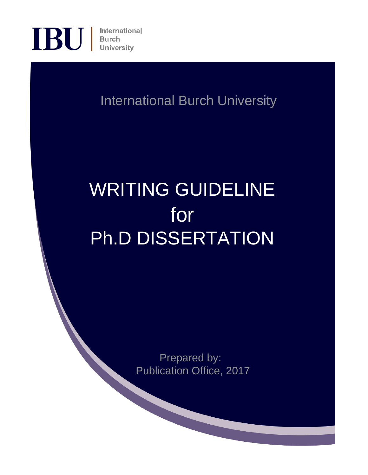

International Burch University

# WRITING GUIDELINE for Ph.D DISSERTATION

Prepared by: Publication Office, 2017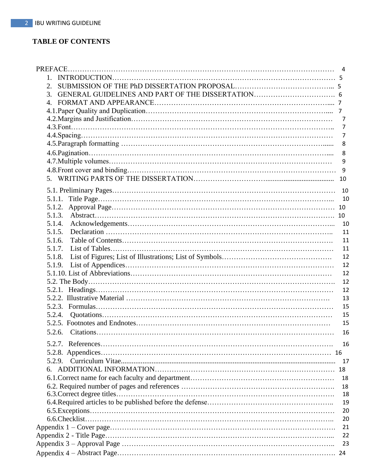## **TABLE OF CONTENTS**

| 2.     |                |
|--------|----------------|
| 3.     |                |
| 4.     |                |
|        |                |
|        |                |
|        | $\overline{7}$ |
|        | 7              |
|        | 8              |
|        |                |
|        | 8              |
|        | 9              |
|        | 9              |
|        | 10             |
|        |                |
| 5.1.1. |                |
| 5.1.2. |                |
| 5.1.3. |                |
| 5.1.4. |                |
| 5.1.5. | 11             |
| 5.1.6. | 11             |
| 5.1.7. | 11             |
| 5.1.8. | 12             |
| 5.1.9. | 12             |
|        | 12             |
|        | 12             |
|        | 12             |
|        |                |
|        | 13             |
|        | 15             |
| 5.2.4. | 15             |
|        | 15             |
|        | 16             |
|        | 16             |
|        |                |
|        | 17             |
|        |                |
|        | 18             |
|        | 18             |
|        | 18             |
|        | 19             |
|        | 20             |
|        | 20             |
|        | 21             |
|        | 22             |
|        | 23             |
|        |                |
|        | -24            |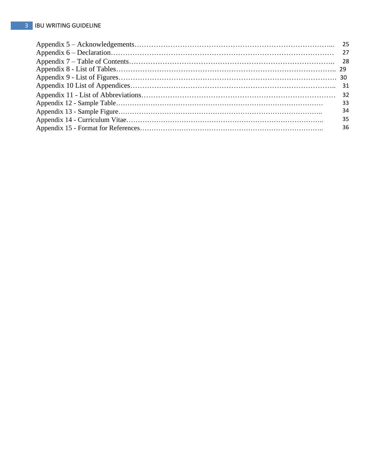| 33 |
|----|
| 34 |
| 35 |
| 36 |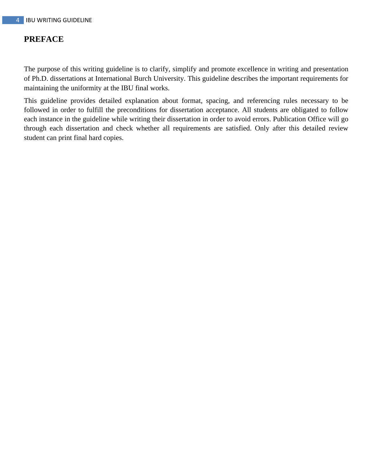## **PREFACE**

The purpose of this writing guideline is to clarify, simplify and promote excellence in writing and presentation of Ph.D. dissertations at International Burch University. This guideline describes the important requirements for maintaining the uniformity at the IBU final works.

This guideline provides detailed explanation about format, spacing, and referencing rules necessary to be followed in order to fulfill the preconditions for dissertation acceptance. All students are obligated to follow each instance in the guideline while writing their dissertation in order to avoid errors. Publication Office will go through each dissertation and check whether all requirements are satisfied. Only after this detailed review student can print final hard copies.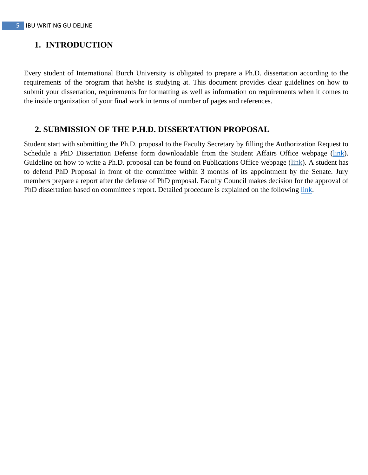## **1. INTRODUCTION**

Every student of International Burch University is obligated to prepare a Ph.D. dissertation according to the requirements of the program that he/she is studying at. This document provides clear guidelines on how to submit your dissertation, requirements for formatting as well as information on requirements when it comes to the inside organization of your final work in terms of number of pages and references.

## **2. SUBMISSION OF THE P.H.D. DISSERTATION PROPOSAL**

Student start with submitting the Ph.D. proposal to the Faculty Secretary by filling the Authorization Request to Schedule a PhD Dissertation Defense form downloadable from the Student Affairs Office webpage (link). Guideline on how to write a Ph.D. proposal can be found on Publications Office webpage (link). A student has to defend PhD Proposal in front of the committee within 3 months of its appointment by the Senate. Jury members prepare a report after the defense of PhD proposal. Faculty Council makes decision for the approval of PhD dissertation based on committee's report. Detailed procedure is explained on the following link.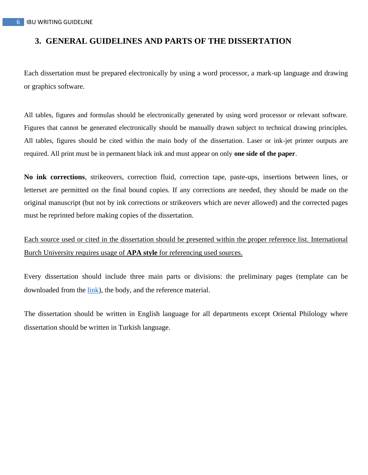## **3. GENERAL GUIDELINES AND PARTS OF THE DISSERTATION**

Each dissertation must be prepared electronically by using a word processor, a mark-up language and drawing or graphics software.

All tables, figures and formulas should be electronically generated by using word processor or relevant software. Figures that cannot be generated electronically should be manually drawn subject to technical drawing principles. All tables, figures should be cited within the main body of the dissertation. Laser or ink-jet printer outputs are required. All print must be in permanent black ink and must appear on only **one side of the paper**.

**No ink corrections**, strikeovers, correction fluid, correction tape, paste-ups, insertions between lines, or letterset are permitted on the final bound copies. If any corrections are needed, they should be made on the original manuscript (but not by ink corrections or strikeovers which are never allowed) and the corrected pages must be reprinted before making copies of the dissertation.

Each source used or cited in the dissertation should be presented within the proper reference list. International Burch University requires usage of **APA style** for referencing used sources.

Every dissertation should include three main parts or divisions: the preliminary pages (template can be downloaded from the link), the body, and the reference material.

The dissertation should be written in English language for all departments except Oriental Philology where dissertation should be written in Turkish language.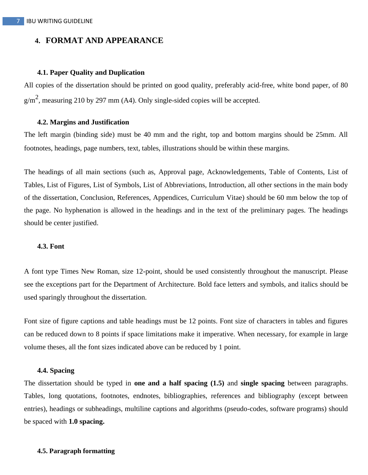## **4. FORMAT AND APPEARANCE**

#### **4.1. Paper Quality and Duplication**

All copies of the dissertation should be printed on good quality, preferably acid-free, white bond paper, of 80  $g/m<sup>2</sup>$ , measuring 210 by 297 mm (A4). Only single-sided copies will be accepted.

#### **4.2. Margins and Justification**

The left margin (binding side) must be 40 mm and the right, top and bottom margins should be 25mm. All footnotes, headings, page numbers, text, tables, illustrations should be within these margins.

The headings of all main sections (such as, Approval page, Acknowledgements, Table of Contents, List of Tables, List of Figures, List of Symbols, List of Abbreviations, Introduction, all other sections in the main body of the dissertation, Conclusion, References, Appendices, Curriculum Vitae) should be 60 mm below the top of the page. No hyphenation is allowed in the headings and in the text of the preliminary pages. The headings should be center justified.

#### **4.3. Font**

A font type Times New Roman, size 12-point, should be used consistently throughout the manuscript. Please see the exceptions part for the Department of Architecture. Bold face letters and symbols, and italics should be used sparingly throughout the dissertation.

Font size of figure captions and table headings must be 12 points. Font size of characters in tables and figures can be reduced down to 8 points if space limitations make it imperative. When necessary, for example in large volume theses, all the font sizes indicated above can be reduced by 1 point.

#### **4.4. Spacing**

The dissertation should be typed in **one and a half spacing (1.5)** and **single spacing** between paragraphs. Tables, long quotations, footnotes, endnotes, bibliographies, references and bibliography (except between entries), headings or subheadings, multiline captions and algorithms (pseudo-codes, software programs) should be spaced with **1.0 spacing.**

#### **4.5. Paragraph formatting**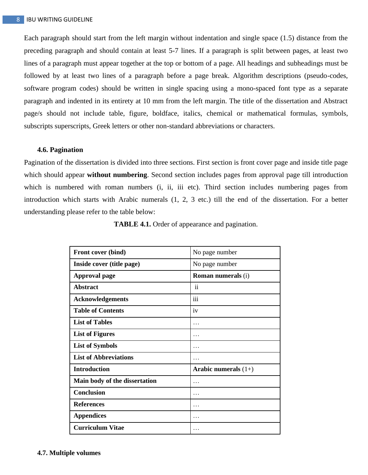Each paragraph should start from the left margin without indentation and single space (1.5) distance from the preceding paragraph and should contain at least 5-7 lines. If a paragraph is split between pages, at least two lines of a paragraph must appear together at the top or bottom of a page. All headings and subheadings must be followed by at least two lines of a paragraph before a page break. Algorithm descriptions (pseudo-codes, software program codes) should be written in single spacing using a mono-spaced font type as a separate paragraph and indented in its entirety at 10 mm from the left margin. The title of the dissertation and Abstract page/s should not include table, figure, boldface, italics, chemical or mathematical formulas, symbols, subscripts superscripts, Greek letters or other non-standard abbreviations or characters.

#### **4.6. Pagination**

Pagination of the dissertation is divided into three sections. First section is front cover page and inside title page which should appear **without numbering**. Second section includes pages from approval page till introduction which is numbered with roman numbers (i, ii, iii etc). Third section includes numbering pages from introduction which starts with Arabic numerals (1, 2, 3 etc.) till the end of the dissertation. For a better understanding please refer to the table below:

| Front cover (bind)            | No page number            |
|-------------------------------|---------------------------|
| Inside cover (title page)     | No page number            |
| <b>Approval page</b>          | <b>Roman numerals (i)</b> |
| <b>Abstract</b>               | $\mathbf{ii}$             |
| <b>Acknowledgements</b>       | iii                       |
| <b>Table of Contents</b>      | iv                        |
| <b>List of Tables</b>         | .                         |
| <b>List of Figures</b>        |                           |
| <b>List of Symbols</b>        | .                         |
| <b>List of Abbreviations</b>  |                           |
| <b>Introduction</b>           | Arabic numerals $(1+)$    |
| Main body of the dissertation | .                         |
| Conclusion                    | .                         |
| <b>References</b>             | .                         |
| <b>Appendices</b>             | .                         |
| <b>Curriculum Vitae</b>       |                           |

**TABLE 4.1.** Order of appearance and pagination.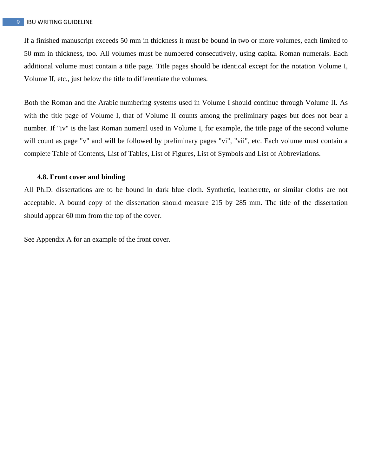If a finished manuscript exceeds 50 mm in thickness it must be bound in two or more volumes, each limited to 50 mm in thickness, too. All volumes must be numbered consecutively, using capital Roman numerals. Each additional volume must contain a title page. Title pages should be identical except for the notation Volume I, Volume II, etc., just below the title to differentiate the volumes.

Both the Roman and the Arabic numbering systems used in Volume I should continue through Volume II. As with the title page of Volume I, that of Volume II counts among the preliminary pages but does not bear a number. If "iv" is the last Roman numeral used in Volume I, for example, the title page of the second volume will count as page "v" and will be followed by preliminary pages "vi", "vii", etc. Each volume must contain a complete Table of Contents, List of Tables, List of Figures, List of Symbols and List of Abbreviations.

#### **4.8. Front cover and binding**

All Ph.D. dissertations are to be bound in dark blue cloth. Synthetic, leatherette, or similar cloths are not acceptable. A bound copy of the dissertation should measure 215 by 285 mm. The title of the dissertation should appear 60 mm from the top of the cover.

See Appendix A for an example of the front cover.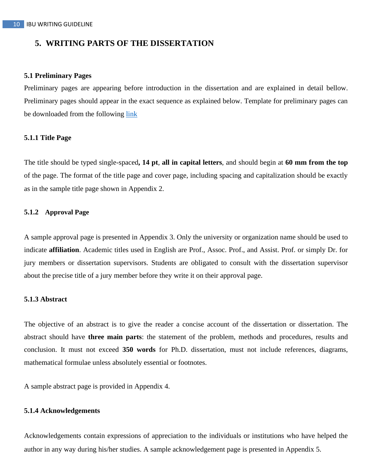## **5. WRITING PARTS OF THE DISSERTATION**

#### **5.1 Preliminary Pages**

Preliminary pages are appearing before introduction in the dissertation and are explained in detail bellow. Preliminary pages should appear in the exact sequence as explained below. Template for preliminary pages can be downloaded from the following link

#### **5.1.1 Title Page**

The title should be typed single-spaced**, 14 pt**, **all in capital letters**, and should begin at **60 mm from the top** of the page. The format of the title page and cover page, including spacing and capitalization should be exactly as in the sample title page shown in Appendix 2.

#### **5.1.2 Approval Page**

A sample approval page is presented in Appendix 3. Only the university or organization name should be used to indicate **affiliation**. Academic titles used in English are Prof., Assoc. Prof., and Assist. Prof. or simply Dr. for jury members or dissertation supervisors. Students are obligated to consult with the dissertation supervisor about the precise title of a jury member before they write it on their approval page.

#### **5.1.3 Abstract**

The objective of an abstract is to give the reader a concise account of the dissertation or dissertation. The abstract should have **three main parts**: the statement of the problem, methods and procedures, results and conclusion. It must not exceed **350 words** for Ph.D. dissertation, must not include references, diagrams, mathematical formulae unless absolutely essential or footnotes.

A sample abstract page is provided in Appendix 4.

#### **5.1.4 Acknowledgements**

Acknowledgements contain expressions of appreciation to the individuals or institutions who have helped the author in any way during his/her studies. A sample acknowledgement page is presented in Appendix 5.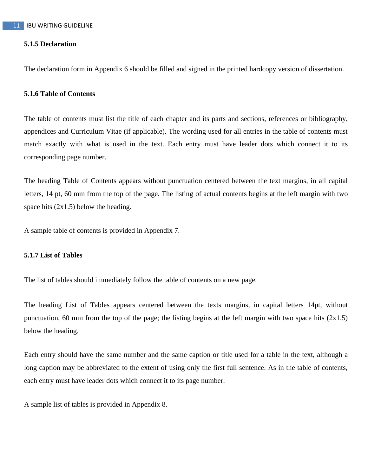#### **5.1.5 Declaration**

The declaration form in Appendix 6 should be filled and signed in the printed hardcopy version of dissertation.

#### **5.1.6 Table of Contents**

The table of contents must list the title of each chapter and its parts and sections, references or bibliography, appendices and Curriculum Vitae (if applicable). The wording used for all entries in the table of contents must match exactly with what is used in the text. Each entry must have leader dots which connect it to its corresponding page number.

The heading Table of Contents appears without punctuation centered between the text margins, in all capital letters, 14 pt, 60 mm from the top of the page. The listing of actual contents begins at the left margin with two space hits  $(2x1.5)$  below the heading.

A sample table of contents is provided in Appendix 7.

#### **5.1.7 List of Tables**

The list of tables should immediately follow the table of contents on a new page.

The heading List of Tables appears centered between the texts margins, in capital letters 14pt, without punctuation, 60 mm from the top of the page; the listing begins at the left margin with two space hits  $(2x1.5)$ below the heading.

Each entry should have the same number and the same caption or title used for a table in the text, although a long caption may be abbreviated to the extent of using only the first full sentence. As in the table of contents, each entry must have leader dots which connect it to its page number.

A sample list of tables is provided in Appendix 8.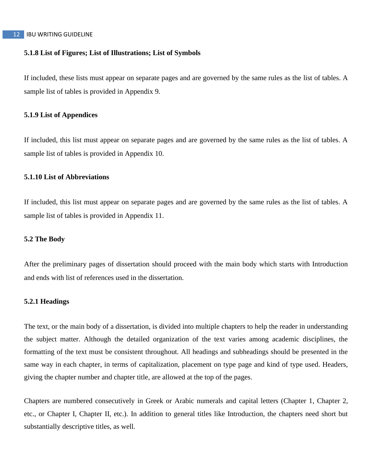#### 12 IBU WRITING GUIDELINE

#### **5.1.8 List of Figures; List of Illustrations; List of Symbols**

If included, these lists must appear on separate pages and are governed by the same rules as the list of tables. A sample list of tables is provided in Appendix 9.

#### **5.1.9 List of Appendices**

If included, this list must appear on separate pages and are governed by the same rules as the list of tables. A sample list of tables is provided in Appendix 10.

#### **5.1.10 List of Abbreviations**

If included, this list must appear on separate pages and are governed by the same rules as the list of tables. A sample list of tables is provided in Appendix 11.

#### **5.2 The Body**

After the preliminary pages of dissertation should proceed with the main body which starts with Introduction and ends with list of references used in the dissertation.

#### **5.2.1 Headings**

The text, or the main body of a dissertation, is divided into multiple chapters to help the reader in understanding the subject matter. Although the detailed organization of the text varies among academic disciplines, the formatting of the text must be consistent throughout. All headings and subheadings should be presented in the same way in each chapter, in terms of capitalization, placement on type page and kind of type used. Headers, giving the chapter number and chapter title, are allowed at the top of the pages.

Chapters are numbered consecutively in Greek or Arabic numerals and capital letters (Chapter 1, Chapter 2, etc., or Chapter I, Chapter II, etc.). In addition to general titles like Introduction, the chapters need short but substantially descriptive titles, as well.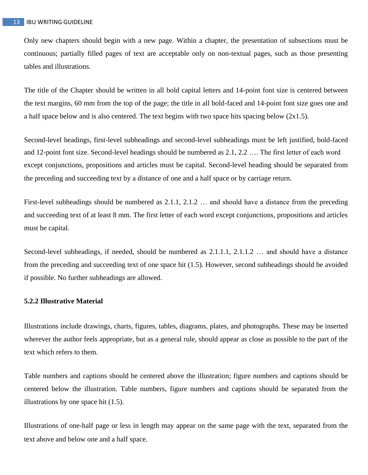Only new chapters should begin with a new page. Within a chapter, the presentation of subsections must be continuous; partially filled pages of text are acceptable only on non-textual pages, such as those presenting tables and illustrations.

The title of the Chapter should be written in all bold capital letters and 14-point font size is centered between the text margins, 60 mm from the top of the page; the title in all bold-faced and 14-point font size goes one and a half space below and is also centered. The text begins with two space hits spacing below  $(2x1.5)$ .

Second-level headings, first-level subheadings and second-level subheadings must be left justified, bold-faced and 12-point font size. Second-level headings should be numbered as 2.1, 2.2 …. The first letter of each word except conjunctions, propositions and articles must be capital. Second-level heading should be separated from the preceding and succeeding text by a distance of one and a half space or by carriage return.

First-level subheadings should be numbered as 2.1.1, 2.1.2 … and should have a distance from the preceding and succeeding text of at least 8 mm. The first letter of each word except conjunctions, propositions and articles must be capital.

Second-level subheadings, if needed, should be numbered as 2.1.1.1, 2.1.1.2 … and should have a distance from the preceding and succeeding text of one space hit (1.5). However, second subheadings should be avoided if possible. No further subheadings are allowed.

#### **5.2.2 Illustrative Material**

Illustrations include drawings, charts, figures, tables, diagrams, plates, and photographs. These may be inserted wherever the author feels appropriate, but as a general rule, should appear as close as possible to the part of the text which refers to them.

Table numbers and captions should be centered above the illustration; figure numbers and captions should be centered below the illustration. Table numbers, figure numbers and captions should be separated from the illustrations by one space hit (1.5).

Illustrations of one-half page or less in length may appear on the same page with the text, separated from the text above and below one and a half space.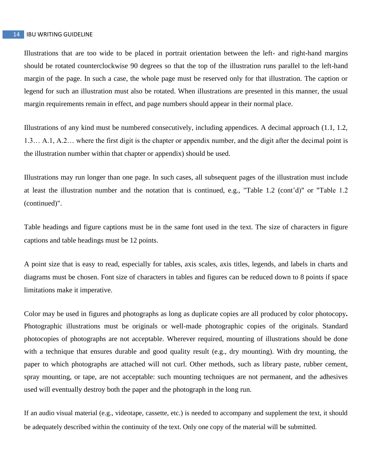Illustrations that are too wide to be placed in portrait orientation between the left- and right-hand margins should be rotated counterclockwise 90 degrees so that the top of the illustration runs parallel to the left-hand margin of the page. In such a case, the whole page must be reserved only for that illustration. The caption or legend for such an illustration must also be rotated. When illustrations are presented in this manner, the usual margin requirements remain in effect, and page numbers should appear in their normal place.

Illustrations of any kind must be numbered consecutively, including appendices. A decimal approach (1.1, 1.2, 1.3… A.1, A.2… where the first digit is the chapter or appendix number, and the digit after the decimal point is the illustration number within that chapter or appendix) should be used.

Illustrations may run longer than one page. In such cases, all subsequent pages of the illustration must include at least the illustration number and the notation that is continued, e.g., "Table 1.2 (cont'd)" or "Table 1.2 (continued)".

Table headings and figure captions must be in the same font used in the text. The size of characters in figure captions and table headings must be 12 points.

A point size that is easy to read, especially for tables, axis scales, axis titles, legends, and labels in charts and diagrams must be chosen. Font size of characters in tables and figures can be reduced down to 8 points if space limitations make it imperative.

Color may be used in figures and photographs as long as duplicate copies are all produced by color photocopy*.* Photographic illustrations must be originals or well-made photographic copies of the originals. Standard photocopies of photographs are not acceptable. Wherever required, mounting of illustrations should be done with a technique that ensures durable and good quality result (e.g., dry mounting). With dry mounting, the paper to which photographs are attached will not curl. Other methods, such as library paste, rubber cement, spray mounting, or tape, are not acceptable: such mounting techniques are not permanent, and the adhesives used will eventually destroy both the paper and the photograph in the long run.

If an audio visual material (e.g., videotape, cassette, etc.) is needed to accompany and supplement the text, it should be adequately described within the continuity of the text. Only one copy of the material will be submitted.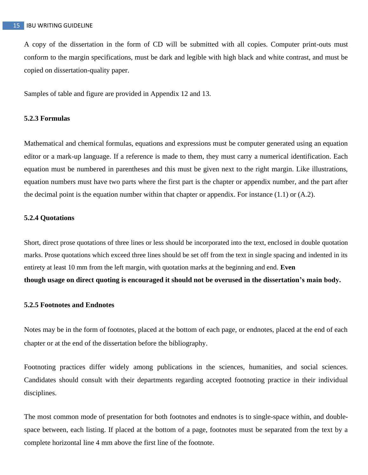A copy of the dissertation in the form of CD will be submitted with all copies. Computer print-outs must conform to the margin specifications, must be dark and legible with high black and white contrast, and must be copied on dissertation-quality paper.

Samples of table and figure are provided in Appendix 12 and 13.

#### **5.2.3 Formulas**

Mathematical and chemical formulas, equations and expressions must be computer generated using an equation editor or a mark-up language. If a reference is made to them, they must carry a numerical identification. Each equation must be numbered in parentheses and this must be given next to the right margin. Like illustrations, equation numbers must have two parts where the first part is the chapter or appendix number, and the part after the decimal point is the equation number within that chapter or appendix. For instance (1.1) or (A.2).

#### **5.2.4 Quotations**

Short, direct prose quotations of three lines or less should be incorporated into the text, enclosed in double quotation marks. Prose quotations which exceed three lines should be set off from the text in single spacing and indented in its entirety at least 10 mm from the left margin, with quotation marks at the beginning and end. **Even though usage on direct quoting is encouraged it should not be overused in the dissertation's main body.**

#### **5.2.5 Footnotes and Endnotes**

Notes may be in the form of footnotes, placed at the bottom of each page, or endnotes, placed at the end of each chapter or at the end of the dissertation before the bibliography.

Footnoting practices differ widely among publications in the sciences, humanities, and social sciences. Candidates should consult with their departments regarding accepted footnoting practice in their individual disciplines.

The most common mode of presentation for both footnotes and endnotes is to single-space within, and doublespace between, each listing. If placed at the bottom of a page, footnotes must be separated from the text by a complete horizontal line 4 mm above the first line of the footnote.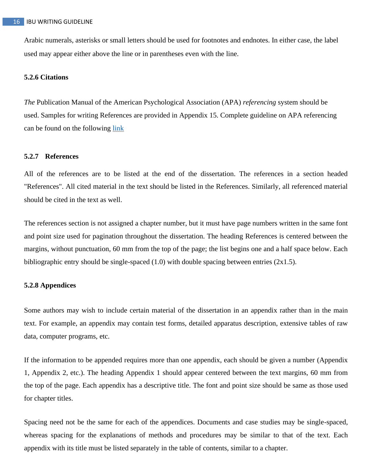Arabic numerals, asterisks or small letters should be used for footnotes and endnotes. In either case, the label used may appear either above the line or in parentheses even with the line.

#### **5.2.6 Citations**

*The* Publication Manual of the American Psychological Association (APA) *referencing* system should be used. Samples for writing References are provided in Appendix 15. Complete guideline on APA referencing can be found on the following link

#### **5.2.7 References**

All of the references are to be listed at the end of the dissertation. The references in a section headed "References". All cited material in the text should be listed in the References. Similarly, all referenced material should be cited in the text as well.

The references section is not assigned a chapter number, but it must have page numbers written in the same font and point size used for pagination throughout the dissertation. The heading References is centered between the margins, without punctuation, 60 mm from the top of the page; the list begins one and a half space below. Each bibliographic entry should be single-spaced (1.0) with double spacing between entries (2x1.5).

#### **5.2.8 Appendices**

Some authors may wish to include certain material of the dissertation in an appendix rather than in the main text. For example, an appendix may contain test forms, detailed apparatus description, extensive tables of raw data, computer programs, etc.

If the information to be appended requires more than one appendix, each should be given a number (Appendix 1, Appendix 2, etc.). The heading Appendix 1 should appear centered between the text margins, 60 mm from the top of the page. Each appendix has a descriptive title. The font and point size should be same as those used for chapter titles.

Spacing need not be the same for each of the appendices. Documents and case studies may be single-spaced, whereas spacing for the explanations of methods and procedures may be similar to that of the text. Each appendix with its title must be listed separately in the table of contents, similar to a chapter.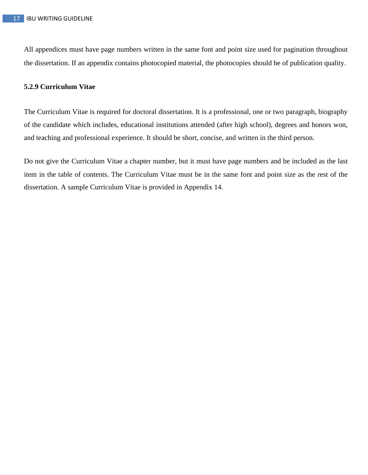All appendices must have page numbers written in the same font and point size used for pagination throughout the dissertation. If an appendix contains photocopied material, the photocopies should be of publication quality.

#### **5.2.9 Curriculum Vitae**

The Curriculum Vitae is required for doctoral dissertation. It is a professional, one or two paragraph, biography of the candidate which includes, educational institutions attended (after high school), degrees and honors won, and teaching and professional experience. It should be short, concise, and written in the third person.

Do not give the Curriculum Vitae a chapter number, but it must have page numbers and be included as the last item in the table of contents. The Curriculum Vitae must be in the same font and point size as the rest of the dissertation. A sample Curriculum Vitae is provided in Appendix 14.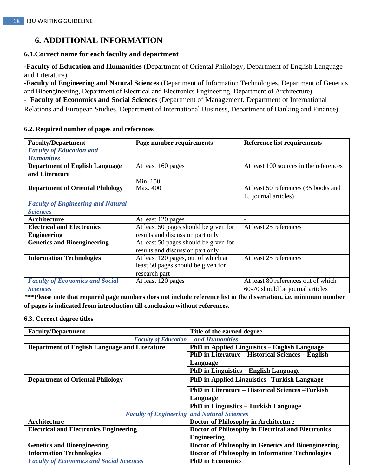## **6. ADDITIONAL INFORMATION**

#### **6.1.Correct name for each faculty and department**

-**Faculty of Education and Humanities** (Department of Oriental Philology, Department of English Language and Literature)

-**Faculty of Engineering and Natural Sciences** (Department of Information Technologies, Department of Genetics and Bioengineering, Department of Electrical and Electronics Engineering, Department of Architecture)

- **Faculty of Economics and Social Sciences** (Department of Management, Department of International

Relations and European Studies, Department of International Business, Department of Banking and Finance).

| <b>Faculty/Department</b>                 | Page number requirements              | <b>Reference list requirements</b>     |
|-------------------------------------------|---------------------------------------|----------------------------------------|
| <b>Faculty of Education and</b>           |                                       |                                        |
| <b>Humanities</b>                         |                                       |                                        |
| <b>Department of English Language</b>     | At least 160 pages                    | At least 100 sources in the references |
| and Literature                            |                                       |                                        |
|                                           | Min. 150                              |                                        |
| <b>Department of Oriental Philology</b>   | Max. 400                              | At least 50 references (35 books and   |
|                                           |                                       | 15 journal articles)                   |
| <b>Faculty of Engineering and Natural</b> |                                       |                                        |
| <b>Sciences</b>                           |                                       |                                        |
| Architecture                              | At least 120 pages                    | $\overline{\phantom{a}}$               |
| <b>Electrical and Electronics</b>         | At least 50 pages should be given for | At least 25 references                 |
| <b>Engineering</b>                        | results and discussion part only      |                                        |
| <b>Genetics and Bioengineering</b>        | At least 50 pages should be given for |                                        |
|                                           | results and discussion part only      |                                        |
| <b>Information Technologies</b>           | At least 120 pages, out of which at   | At least 25 references                 |
|                                           | least 50 pages should be given for    |                                        |
|                                           | research part                         |                                        |
| <b>Faculty of Economics and Social</b>    | At least 120 pages                    | At least 80 references out of which    |
| <b>Sciences</b>                           |                                       | 60-70 should be journal articles       |

#### **6.2. Required number of pages and references**

**\*\*\*Please note that required page numbers does not include reference list in the dissertation, i.e. minimum number of pages is indicated from introduction till conclusion without references.**

#### **6.3. Correct degree titles**

| <b>Faculty/Department</b>                       | Title of the earned degree                               |
|-------------------------------------------------|----------------------------------------------------------|
| <b>Faculty of Education</b>                     | and Humanities                                           |
| Department of English Language and Literature   | <b>PhD in Applied Linguistics – English Language</b>     |
|                                                 | <b>PhD in Literature – Historical Sciences – English</b> |
|                                                 | Language                                                 |
|                                                 | <b>PhD</b> in Linguistics – English Language             |
| <b>Department of Oriental Philology</b>         | <b>PhD</b> in Applied Linguistics - Turkish Language     |
|                                                 | <b>PhD</b> in Literature – Historical Sciences – Turkish |
|                                                 | Language                                                 |
|                                                 | <b>PhD</b> in Linguistics – Turkish Language             |
|                                                 | <b>Faculty of Engineering and Natural Sciences</b>       |
| Architecture                                    | Doctor of Philosophy in Architecture                     |
| <b>Electrical and Electronics Engineering</b>   | Doctor of Philosophy in Electrical and Electronics       |
|                                                 | <b>Engineering</b>                                       |
| <b>Genetics and Bioengineering</b>              | Doctor of Philosophy in Genetics and Bioengineering      |
| <b>Information Technologies</b>                 | Doctor of Philosophy in Information Technologies         |
| <b>Faculty of Economics and Social Sciences</b> | <b>PhD</b> in Economics                                  |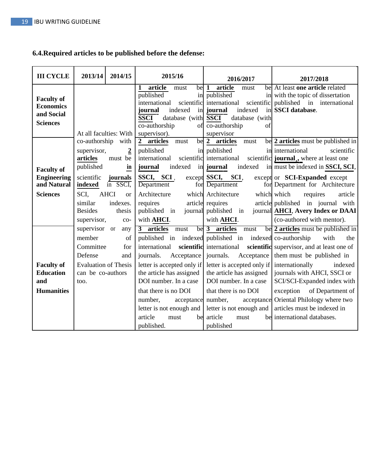## **6.4.Required articles to be published before the defense:**

| <b>III CYCLE</b>                                                       | 2013/14                                                                                                     | 2014/15                                                           | 2015/16                                                                                                                                                                                                                                                               | 2016/2017                                                                                                                                                                                                                                                                                                                                 | 2017/2018                                                                                                                                                                                                                                                                                                                                       |
|------------------------------------------------------------------------|-------------------------------------------------------------------------------------------------------------|-------------------------------------------------------------------|-----------------------------------------------------------------------------------------------------------------------------------------------------------------------------------------------------------------------------------------------------------------------|-------------------------------------------------------------------------------------------------------------------------------------------------------------------------------------------------------------------------------------------------------------------------------------------------------------------------------------------|-------------------------------------------------------------------------------------------------------------------------------------------------------------------------------------------------------------------------------------------------------------------------------------------------------------------------------------------------|
| <b>Faculty of</b><br><b>Economics</b><br>and Social<br><b>Sciences</b> | At all faculties: With                                                                                      |                                                                   | article<br>1<br>$be \mid 1$<br>must<br>published<br>in<br>scientific<br>international<br>indexed<br>journal<br><b>SSCI</b><br>database (with SSCI<br>co-authorship<br>supervisor).                                                                                    | article<br>must<br>published<br>international<br>scientific<br>in journal<br>indexed<br>database (with<br>of co-authorship<br>of<br>supervisor                                                                                                                                                                                            | be At least one article related<br>in with the topic of dissertation<br>published in international<br>in SSCI database.                                                                                                                                                                                                                         |
| <b>Faculty of</b><br><b>Engineering</b><br>and Natural                 | co-authorship<br>supervisor,<br>articles<br>published<br>scientific<br>indexed                              | with<br>$\boldsymbol{2}$<br>must be<br>in<br>journals<br>in SSCI, | 2 articles<br>must<br>published<br>international<br>indexed<br>journal<br>SSCI, SCI,<br>Department                                                                                                                                                                    | be 2 articles<br>must<br>in published<br>scientific international<br>in journal<br>indexed<br>except SSCI, SCI,<br>for Department                                                                                                                                                                                                         | be 2 articles must be published in<br>in international<br>scientific<br>scientific journal, where at least one<br>in must be indexed in SSCI, SCI,<br>except or <b>SCI-Expanded</b> except<br>for Department for Architecture                                                                                                                   |
| <b>Sciences</b>                                                        | SCI,<br>similar<br><b>Besides</b><br>supervisor,                                                            | <b>AHCI</b><br>or<br>indexes.<br>thesis<br>$CO-$                  | Architecture<br>requires<br>published in<br>with <b>AHCI</b> .                                                                                                                                                                                                        | which Architecture<br>article requires<br>journal published in<br>with <b>AHCI</b> .                                                                                                                                                                                                                                                      | which which<br>requires<br>article<br>article published in journal with<br>journal AHCI, Avery Index or DAAI<br>(co-authored with mentor).                                                                                                                                                                                                      |
| <b>Faculty of</b><br><b>Education</b><br>and<br><b>Humanities</b>      | supervisor or<br>member<br>Committee<br>Defense<br><b>Evaluation of Thesis</b><br>can be co-authors<br>too. | any<br>of<br>for<br>and                                           | 3 articles<br>must<br>international<br>journals.<br>Acceptance<br>letter is accepted only if<br>the article has assigned<br>DOI number. In a case<br>that there is no DOI<br>number,<br>acceptance<br>letter is not enough and<br>article<br>must<br>be<br>published. | be 3 articles<br>must<br>published in indexed published in indexed co-authorship<br>scientific international<br>journals.<br>Acceptance<br>letter is accepted only if internationally<br>the article has assigned<br>DOI number. In a case<br>that there is no DOI<br>number,<br>letter is not enough and<br>article<br>must<br>published | be 2 articles must be published in<br>with<br>the<br>scientific supervisor, and at least one of<br>them must be published in<br>indexed<br>journals with AHCI, SSCI or<br>SCI/SCI-Expanded index with<br>of Department of<br>exception<br>acceptance Oriental Philology where two<br>articles must be indexed in<br>be international databases. |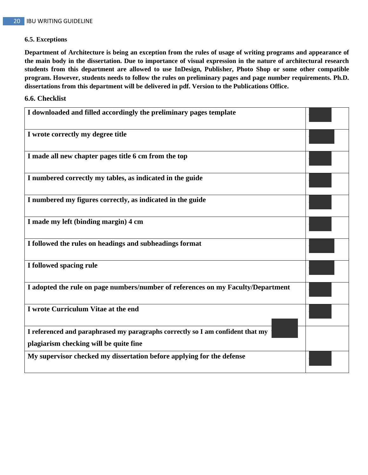#### **6.5. Exceptions**

**Department of Architecture is being an exception from the rules of usage of writing programs and appearance of the main body in the dissertation. Due to importance of visual expression in the nature of architectural research students from this department are allowed to use InDesign, Publisher, Photo Shop or some other compatible program. However, students needs to follow the rules on preliminary pages and page number requirements. Ph.D. dissertations from this department will be delivered in pdf. Version to the Publications Office.**

#### **6.6. Checklist**

| I downloaded and filled accordingly the preliminary pages template                                                       |  |
|--------------------------------------------------------------------------------------------------------------------------|--|
| I wrote correctly my degree title                                                                                        |  |
| I made all new chapter pages title 6 cm from the top                                                                     |  |
| I numbered correctly my tables, as indicated in the guide                                                                |  |
| I numbered my figures correctly, as indicated in the guide                                                               |  |
| I made my left (binding margin) 4 cm                                                                                     |  |
| I followed the rules on headings and subheadings format                                                                  |  |
| I followed spacing rule                                                                                                  |  |
| I adopted the rule on page numbers/number of references on my Faculty/Department                                         |  |
| I wrote Curriculum Vitae at the end                                                                                      |  |
| I referenced and paraphrased my paragraphs correctly so I am confident that my<br>plagiarism checking will be quite fine |  |
|                                                                                                                          |  |
| My supervisor checked my dissertation before applying for the defense                                                    |  |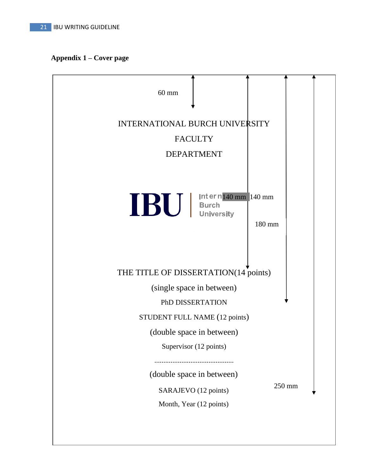$\overline{1}$ 

# **Appendix 1 – Cover page**

| $60$ mm                                                                                |  |
|----------------------------------------------------------------------------------------|--|
| INTERNATIONAL BURCH UNIVERSITY                                                         |  |
| <b>FACULTY</b>                                                                         |  |
| <b>DEPARTMENT</b>                                                                      |  |
| BU   Internation 140 mm<br>180 mm                                                      |  |
| THE TITLE OF DISSERTATION(14 points)                                                   |  |
| (single space in between)                                                              |  |
| PhD DISSERTATION                                                                       |  |
| STUDENT FULL NAME (12 points)                                                          |  |
| (double space in between)                                                              |  |
| Supervisor (12 points)                                                                 |  |
| (double space in between)<br>250 mm<br>SARAJEVO (12 points)<br>Month, Year (12 points) |  |
|                                                                                        |  |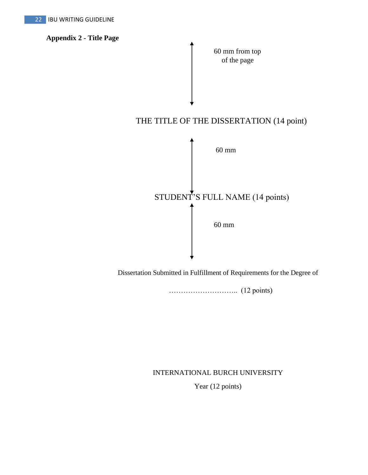**Appendix 2 - Title Page**



Dissertation Submitted in Fulfillment of Requirements for the Degree of

……………………….. (12 points)

### INTERNATIONAL BURCH UNIVERSITY

Year (12 points)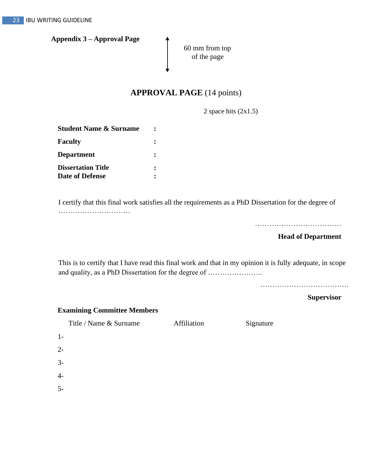**Appendix 3 – Approval Page**

60 mm from top of the page

## **APPROVAL PAGE** (14 points)

2 space hits (2x1.5)

| <b>Student Name &amp; Surname</b> |  |
|-----------------------------------|--|
| Faculty                           |  |
| Department                        |  |
| <b>Dissertation Title</b>         |  |
| <b>Date of Defense</b>            |  |

I certify that this final work satisfies all the requirements as a PhD Dissertation for the degree of …………………………

………………………………

#### **Head of Department**

This is to certify that I have read this final work and that in my opinion it is fully adequate, in scope and quality, as a PhD Dissertation for the degree of …………………..

……………………………………………

**Supervisor**

#### **Examining Committee Members**

Title / Name & Surname Affiliation Signature

| $1-$           |  |  |
|----------------|--|--|
| $2 -$          |  |  |
| $3-$           |  |  |
| $\overline{4}$ |  |  |
| $5-$           |  |  |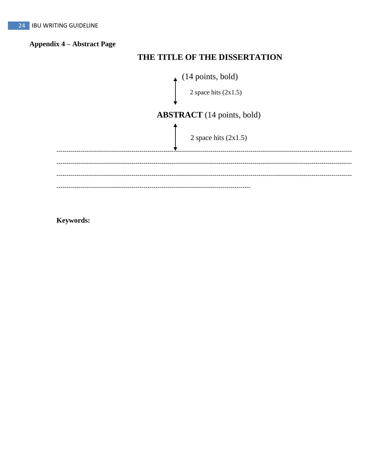## **Appendix 4 - Abstract Page**

## THE TITLE OF THE DISSERTATION



Keywords: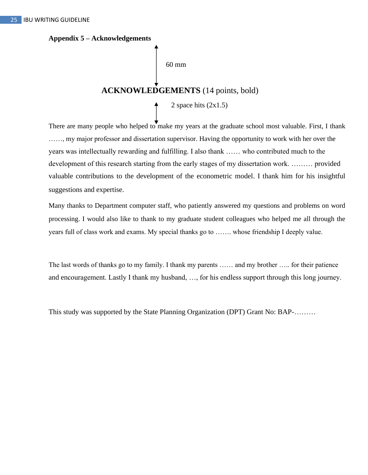**Appendix 5 – Acknowledgements**

60 mm

# **ACKNOWLEDGEMENTS** (14 points, bold)

2 space hits (2x1.5)

There are many people who helped to make my years at the graduate school most valuable. First, I thank ……, my major professor and dissertation supervisor. Having the opportunity to work with her over the years was intellectually rewarding and fulfilling. I also thank …… who contributed much to the development of this research starting from the early stages of my dissertation work. ……… provided valuable contributions to the development of the econometric model. I thank him for his insightful suggestions and expertise.

Many thanks to Department computer staff, who patiently answered my questions and problems on word processing. I would also like to thank to my graduate student colleagues who helped me all through the years full of class work and exams. My special thanks go to ……. whose friendship I deeply value.

The last words of thanks go to my family. I thank my parents …… and my brother ….. for their patience and encouragement. Lastly I thank my husband, …, for his endless support through this long journey.

This study was supported by the State Planning Organization (DPT) Grant No: BAP-………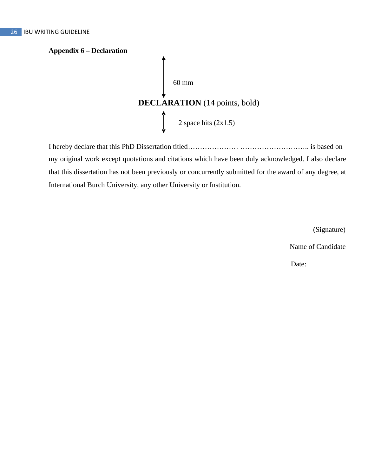# **Appendix 6 – Declaration** 60 mm **DECLARATION** (14 points, bold) 2 space hits  $(2x1.5)$

I hereby declare that this PhD Dissertation titled………………… ……………………….. is based on my original work except quotations and citations which have been duly acknowledged. I also declare that this dissertation has not been previously or concurrently submitted for the award of any degree, at International Burch University, any other University or Institution.

(Signature)

Name of Candidate

Date: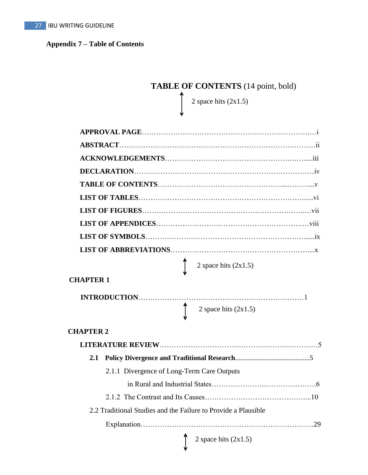## **Appendix 7 – Table of Contents**

# **TABLE OF CONTENTS** (14 point, bold)

2 space hits  $(2x1.5)$ 

| 2 space hits $(2x1.5)$                                         |
|----------------------------------------------------------------|
| <b>CHAPTER 1</b>                                               |
|                                                                |
| 2 space hits $(2x1.5)$                                         |
| <b>CHAPTER 2</b>                                               |
|                                                                |
| 2.1                                                            |
| 2.1.1 Divergence of Long-Term Care Outputs                     |
|                                                                |
|                                                                |
| 2.2 Traditional Studies and the Failure to Provide a Plausible |
|                                                                |
| 2 space hits $(2x1.5)$                                         |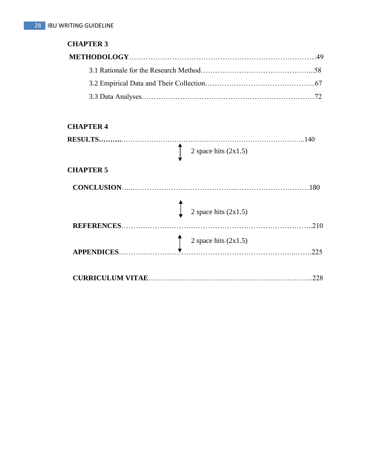## **CHAPTER 3**

## **CHAPTER 4**

|                                  | 140                                              |
|----------------------------------|--------------------------------------------------|
|                                  | 2 space hits $(2x1.5)$                           |
| <b>CHAPTER 5</b>                 |                                                  |
| <b>CONCLUSION.</b>               | 180                                              |
|                                  | $\int_{2}^{\infty}$ 2 space hits (2x1.5)<br>.210 |
| REFERENCES<br><b>APPENDICES.</b> | 2 space hits $(2x1.5)$<br>.225                   |
|                                  | 228                                              |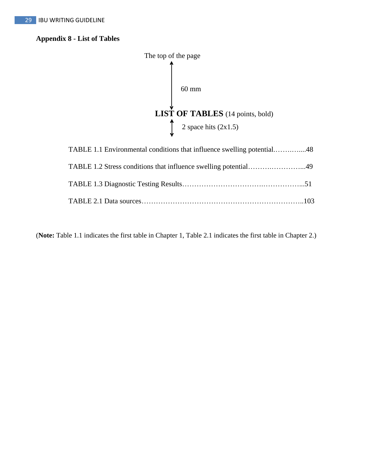## **Appendix 8 - List of Tables**



| TABLE 1.1 Environmental conditions that influence swelling potential48 |  |
|------------------------------------------------------------------------|--|
|                                                                        |  |
|                                                                        |  |
|                                                                        |  |

(**Note:** Table 1.1 indicates the first table in Chapter 1, Table 2.1 indicates the first table in Chapter 2.)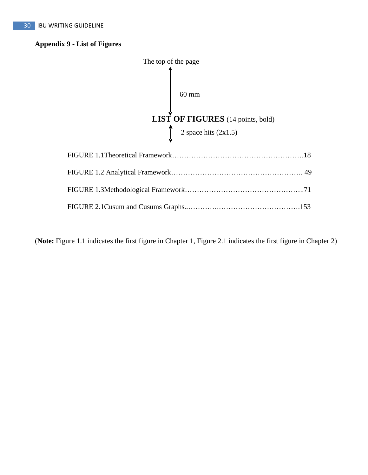### **Appendix 9 - List of Figures**



(**Note:** Figure 1.1 indicates the first figure in Chapter 1, Figure 2.1 indicates the first figure in Chapter 2)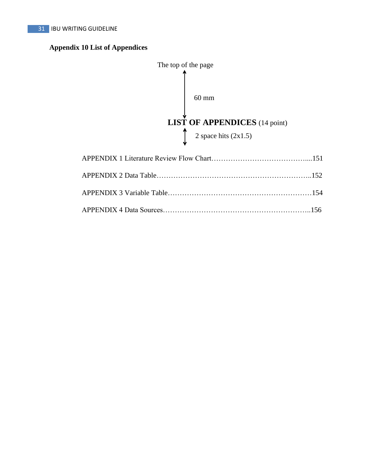## **Appendix 10 List of Appendices**

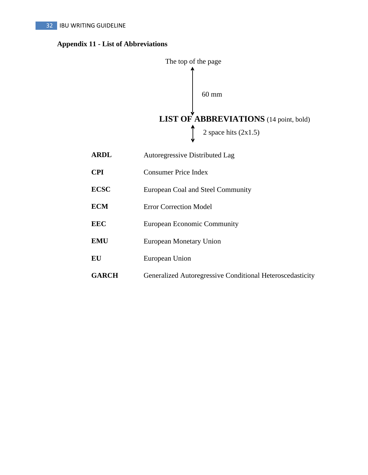## **Appendix 11 - List of Abbreviations**



| <b>ARDL</b> | Autoregressive Distributed Lag |
|-------------|--------------------------------|
| <b>CPI</b>  | <b>Consumer Price Index</b>    |

- **ECSC** European Coal and Steel Community
- **ECM** Error Correction Model
- **EEC** European Economic Community
- **EMU** European Monetary Union
- **EU** European Union
- **GARCH** Generalized Autoregressive Conditional Heteroscedasticity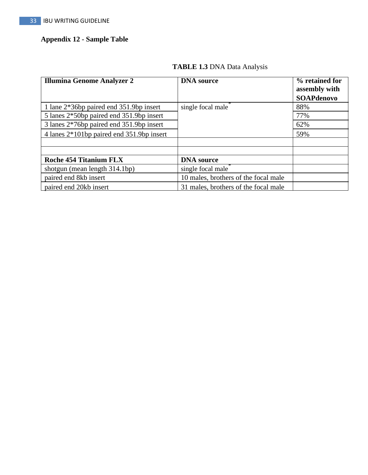## **Appendix 12 - Sample Table**

| <b>Illumina Genome Analyzer 2</b>         | <b>DNA</b> source                    | % retained for<br>assembly with<br><b>SOAPdenovo</b> |
|-------------------------------------------|--------------------------------------|------------------------------------------------------|
| 1 lane 2*36bp paired end 351.9bp insert   | single focal male                    | 88%                                                  |
| 5 lanes 2*50bp paired end 351.9bp insert  |                                      | 77%                                                  |
| 3 lanes 2*76bp paired end 351.9bp insert  |                                      | 62%                                                  |
| 4 lanes 2*101bp paired end 351.9bp insert |                                      | 59%                                                  |
|                                           |                                      |                                                      |
|                                           |                                      |                                                      |
| <b>Roche 454 Titanium FLX</b>             | <b>DNA</b> source                    |                                                      |
| shotgun (mean length 314.1bp)             | single focal male                    |                                                      |
| paired end 8kb insert                     | 10 males, brothers of the focal male |                                                      |
| paired end 20kb insert                    | 31 males, brothers of the focal male |                                                      |

## **TABLE 1.3** DNA Data Analysis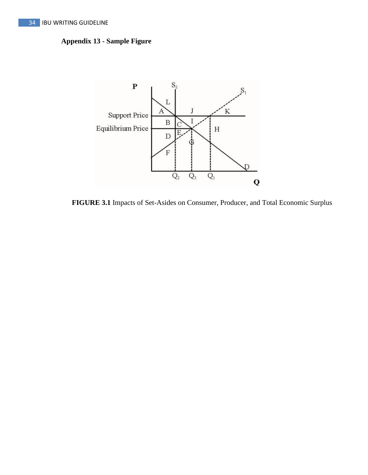## **Appendix 13 - Sample Figure**



**FIGURE 3.1** Impacts of Set-Asides on Consumer, Producer, and Total Economic Surplus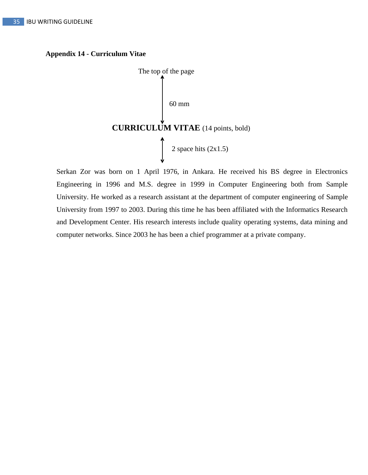#### **Appendix 14 - Curriculum Vitae**



Serkan Zor was born on 1 April 1976, in Ankara. He received his BS degree in Electronics Engineering in 1996 and M.S. degree in 1999 in Computer Engineering both from Sample University. He worked as a research assistant at the department of computer engineering of Sample University from 1997 to 2003. During this time he has been affiliated with the Informatics Research and Development Center. His research interests include quality operating systems, data mining and computer networks. Since 2003 he has been a chief programmer at a private company.